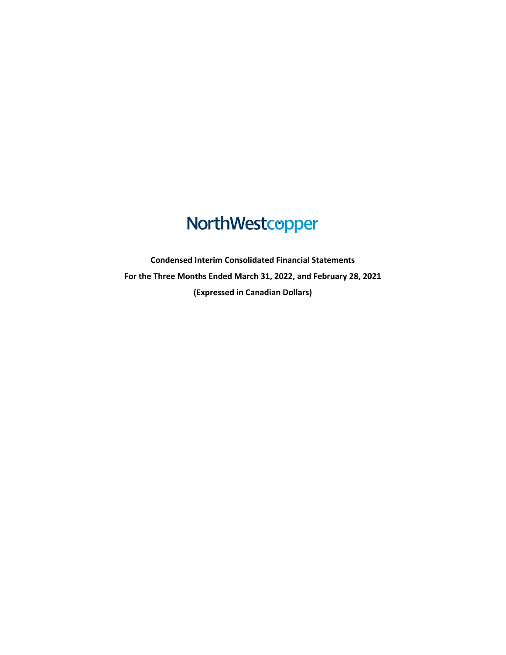# NorthWestcopper

**Condensed Interim Consolidated Financial Statements For the Three Months Ended March 31, 2022, and February 28, 2021 (Expressed in Canadian Dollars)**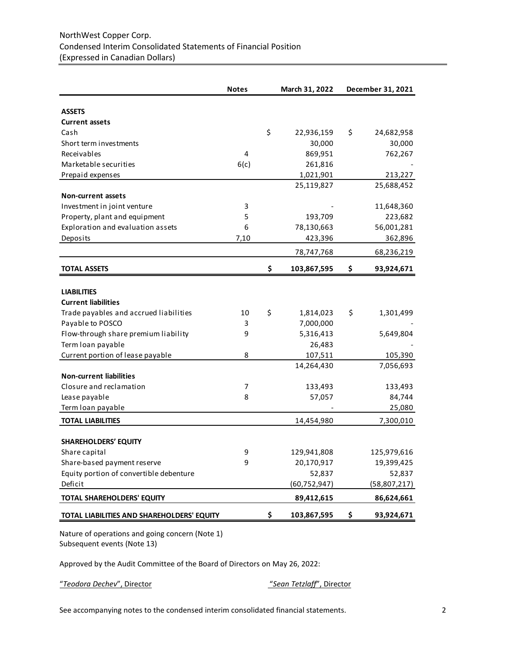|                                            | <b>Notes</b> | March 31, 2022    | December 31, 2021 |
|--------------------------------------------|--------------|-------------------|-------------------|
| <b>ASSETS</b>                              |              |                   |                   |
| <b>Current assets</b>                      |              |                   |                   |
| Cash                                       |              | \$<br>22,936,159  | \$<br>24,682,958  |
| Short term investments                     |              | 30,000            | 30,000            |
| Receivables                                | 4            | 869,951           | 762,267           |
| Marketable securities                      | 6(c)         | 261,816           |                   |
| Prepaid expenses                           |              | 1,021,901         | 213,227           |
|                                            |              | 25,119,827        | 25,688,452        |
| <b>Non-current assets</b>                  |              |                   |                   |
| Investment in joint venture                | 3            |                   | 11,648,360        |
| Property, plant and equipment              | 5            | 193,709           | 223,682           |
| Exploration and evaluation assets          | 6            | 78,130,663        | 56,001,281        |
| Deposits                                   | 7,10         | 423,396           | 362,896           |
|                                            |              | 78,747,768        | 68,236,219        |
| <b>TOTAL ASSETS</b>                        |              | \$<br>103,867,595 | \$<br>93,924,671  |
|                                            |              |                   |                   |
| <b>LIABILITIES</b>                         |              |                   |                   |
| <b>Current liabilities</b>                 |              |                   |                   |
| Trade payables and accrued liabilities     | 10           | \$<br>1,814,023   | \$<br>1,301,499   |
| Payable to POSCO                           | 3            | 7,000,000         |                   |
| Flow-through share premium liability       | 9            | 5,316,413         | 5,649,804         |
| Term loan payable                          |              | 26,483            |                   |
| Current portion of lease payable           | 8            | 107,511           | 105,390           |
|                                            |              | 14,264,430        | 7,056,693         |
| <b>Non-current liabilities</b>             |              |                   |                   |
| Closure and reclamation                    | 7            | 133,493           | 133,493           |
| Lease payable                              | 8            | 57,057            | 84,744            |
| Term loan payable                          |              |                   | 25,080            |
| <b>TOTAL LIABILITIES</b>                   |              | 14,454,980        | 7,300,010         |
|                                            |              |                   |                   |
| <b>SHAREHOLDERS' EQUITY</b>                |              |                   |                   |
| Share capital                              | 9            | 129,941,808       | 125,979,616       |
| Share-based payment reserve                | 9            | 20,170,917        | 19,399,425        |
| Equity portion of convertible debenture    |              | 52,837            | 52,837            |
| Deficit                                    |              | (60, 752, 947)    | (58, 807, 217)    |
| TOTAL SHAREHOLDERS' EQUITY                 |              | 89,412,615        | 86,624,661        |
| TOTAL LIABILITIES AND SHAREHOLDERS' EQUITY |              | \$<br>103,867,595 | \$<br>93,924,671  |

Nature of operations and going concern (Note 1) Subsequent events (Note 13)

Approved by the Audit Committee of the Board of Directors on May 26, 2022:

"*Teodora Dechev*", Director "*Sean Tetzlaff*", Director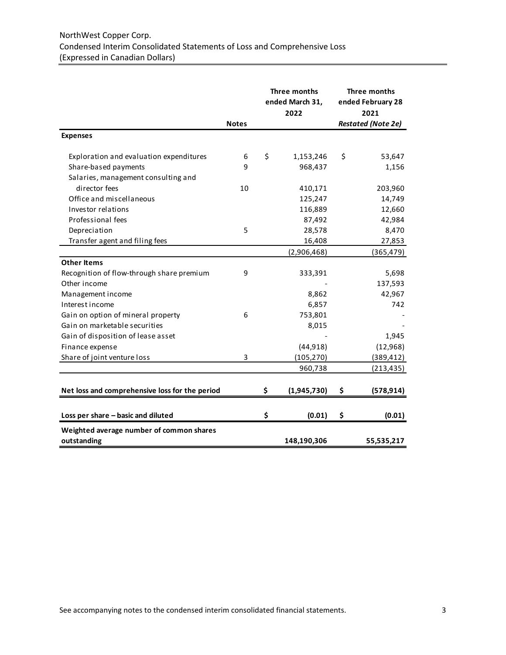|                                                |              | Three months<br>ended March 31,<br>2022 |             | Three months<br>ended February 28<br>2021 |
|------------------------------------------------|--------------|-----------------------------------------|-------------|-------------------------------------------|
|                                                | <b>Notes</b> |                                         |             | <b>Restated (Note 2e)</b>                 |
| <b>Expenses</b>                                |              |                                         |             |                                           |
| Exploration and evaluation expenditures        | 6            | \$                                      | 1,153,246   | \$<br>53,647                              |
| Share-based payments                           | 9            |                                         | 968,437     | 1,156                                     |
| Salaries, management consulting and            |              |                                         |             |                                           |
| director fees                                  | 10           |                                         | 410,171     | 203,960                                   |
| Office and miscellaneous                       |              |                                         | 125,247     | 14,749                                    |
| Investor relations                             |              |                                         | 116,889     | 12,660                                    |
| Professional fees                              |              |                                         | 87,492      | 42,984                                    |
| Depreciation                                   | 5            |                                         | 28,578      | 8,470                                     |
| Transfer agent and filing fees                 |              |                                         | 16,408      | 27,853                                    |
|                                                |              |                                         | (2,906,468) | (365, 479)                                |
| <b>Other Items</b>                             |              |                                         |             |                                           |
| Recognition of flow-through share premium      | 9            |                                         | 333,391     | 5,698                                     |
| Other income                                   |              |                                         |             | 137,593                                   |
| Management income                              |              |                                         | 8,862       | 42,967                                    |
| Interest income                                |              |                                         | 6,857       | 742                                       |
| Gain on option of mineral property             | 6            |                                         | 753,801     |                                           |
| Gain on marketable securities                  |              |                                         | 8,015       |                                           |
| Gain of disposition of lease asset             |              |                                         |             | 1,945                                     |
| Finance expense                                |              |                                         | (44, 918)   | (12,968)                                  |
| Share of joint venture loss                    | 3            |                                         | (105, 270)  | (389, 412)                                |
|                                                |              |                                         | 960,738     | (213, 435)                                |
|                                                |              |                                         |             |                                           |
| Net loss and comprehensive loss for the period |              | \$                                      | (1,945,730) | \$<br>(578, 914)                          |
|                                                |              |                                         |             |                                           |
| Loss per share - basic and diluted             |              | \$                                      | (0.01)      | \$<br>(0.01)                              |
| Weighted average number of common shares       |              |                                         |             |                                           |
| outstanding                                    |              |                                         | 148,190,306 | 55,535,217                                |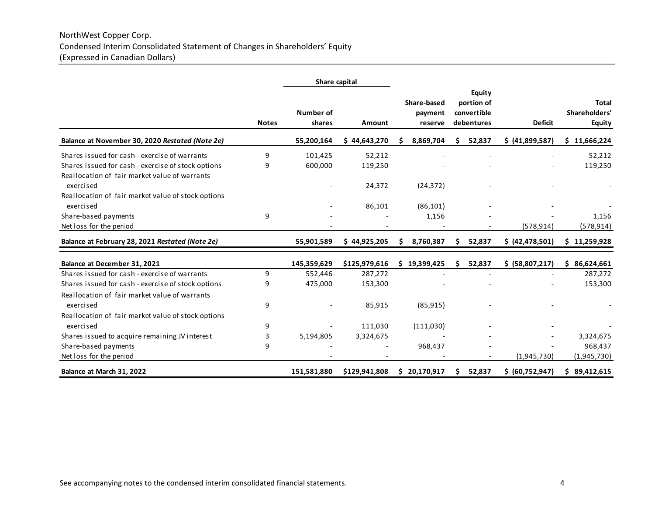# NorthWest Copper Corp. Condensed Interim Consolidated Statement of Changes in Shareholders' Equity (Expressed in Canadian Dollars)

|                                                                                                     |              | Share capital       |               |    |                                   |   |                                                   |                   |                                                |
|-----------------------------------------------------------------------------------------------------|--------------|---------------------|---------------|----|-----------------------------------|---|---------------------------------------------------|-------------------|------------------------------------------------|
|                                                                                                     | <b>Notes</b> | Number of<br>shares | Amount        |    | Share-based<br>payment<br>reserve |   | Equity<br>portion of<br>convertible<br>debentures | <b>Deficit</b>    | <b>Total</b><br>Shareholders'<br><b>Equity</b> |
| Balance at November 30, 2020 Restated (Note 2e)                                                     |              | 55,200,164          | \$44,643,270  |    | 8,869,704                         | S | 52,837                                            | \$ (41,899,587)   | \$11,666,224                                   |
| Shares issued for cash - exercise of warrants                                                       | 9            | 101,425             | 52,212        |    |                                   |   |                                                   |                   | 52,212                                         |
| Shares issued for cash - exercise of stock options<br>Reallocation of fair market value of warrants | 9            | 600,000             | 119,250       |    |                                   |   |                                                   |                   | 119,250                                        |
| exercised                                                                                           |              |                     | 24,372        |    | (24, 372)                         |   |                                                   |                   |                                                |
| Reallocation of fair market value of stock options<br>exercised                                     |              |                     | 86,101        |    | (86, 101)                         |   |                                                   |                   |                                                |
| Share-based payments                                                                                | 9            |                     |               |    | 1,156                             |   |                                                   |                   | 1,156                                          |
| Net loss for the period                                                                             |              |                     |               |    |                                   |   |                                                   | (578, 914)        | (578, 914)                                     |
| Balance at February 28, 2021 Restated (Note 2e)                                                     |              | 55,901,589          | \$44,925,205  | s  | 8,760,387                         |   | 52,837                                            | \$ (42, 478, 501) | \$11,259,928                                   |
| Balance at December 31, 2021                                                                        |              | 145,359,629         | \$125,979,616 | Ś. | 19,399,425                        |   | 52,837                                            | \$ (58,807,217)   | \$86,624,661                                   |
| Shares issued for cash - exercise of warrants                                                       | 9            | 552,446             | 287,272       |    |                                   |   |                                                   |                   | 287,272                                        |
| Shares issued for cash - exercise of stock options                                                  | 9            | 475,000             | 153,300       |    |                                   |   |                                                   |                   | 153,300                                        |
| Reallocation of fair market value of warrants<br>exercised                                          | 9            |                     | 85,915        |    | (85, 915)                         |   |                                                   |                   |                                                |
| Reallocation of fair market value of stock options<br>exercised                                     | 9            |                     | 111,030       |    | (111,030)                         |   |                                                   |                   |                                                |
| Shares issued to acquire remaining JV interest                                                      | 3            | 5,194,805           | 3,324,675     |    |                                   |   |                                                   |                   | 3,324,675                                      |
| Share-based payments                                                                                | 9            |                     |               |    | 968,437                           |   |                                                   |                   | 968,437                                        |
| Net loss for the period                                                                             |              |                     |               |    |                                   |   |                                                   | (1,945,730)       | (1,945,730)                                    |
| Balance at March 31, 2022                                                                           |              | 151,581,880         | \$129,941,808 |    | \$20,170,917                      |   | 52,837                                            | \$ (60,752,947)   | \$89,412,615                                   |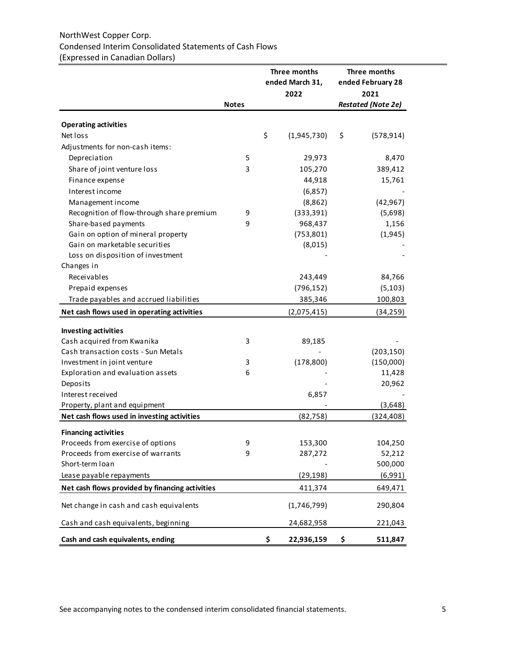# NorthWest Copper Corp. Condensed Interim Consolidated Statements of Cash Flows (Expressed in Canadian Dollars)

|                                                 |              | Three months<br>ended March 31, | Three months<br>ended February 28 |
|-------------------------------------------------|--------------|---------------------------------|-----------------------------------|
|                                                 |              | 2022                            | 2021                              |
|                                                 | <b>Notes</b> |                                 | <b>Restated (Note 2e)</b>         |
| <b>Operating activities</b>                     |              |                                 |                                   |
| Net loss                                        |              | \$<br>(1,945,730)               | \$<br>(578, 914)                  |
| Adjustments for non-cash items:                 |              |                                 |                                   |
| Depreciation                                    | 5            | 29,973                          | 8,470                             |
| Share of joint venture loss                     | 3            | 105,270                         | 389,412                           |
| Finance expense                                 |              | 44,918                          | 15,761                            |
| Interest income                                 |              | (6,857)                         |                                   |
| Management income                               |              | (8,862)                         | (42, 967)                         |
| Recognition of flow-through share premium       | 9            | (333, 391)                      | (5,698)                           |
| Share-based payments                            | 9            | 968,437                         | 1,156                             |
| Gain on option of mineral property              |              | (753, 801)                      | (1,945)                           |
| Gain on marketable securities                   |              | (8,015)                         |                                   |
| Loss on disposition of investment               |              |                                 |                                   |
| Changes in                                      |              |                                 |                                   |
| Receivables                                     |              | 243,449                         | 84,766                            |
| Prepaid expenses                                |              | (796, 152)                      | (5, 103)                          |
| Trade payables and accrued liabilities          |              | 385,346                         | 100,803                           |
| Net cash flows used in operating activities     |              | (2,075,415)                     | (34, 259)                         |
| <b>Investing activities</b>                     |              |                                 |                                   |
| Cash acquired from Kwanika                      | 3            | 89,185                          |                                   |
| Cash transaction costs - Sun Metals             |              |                                 | (203, 150)                        |
| Investment in joint venture                     | 3            | (178, 800)                      | (150,000)                         |
| Exploration and evaluation assets               | 6            |                                 | 11,428                            |
| Deposits                                        |              |                                 | 20,962                            |
| Interest received                               |              | 6,857                           |                                   |
| Property, plant and equipment                   |              |                                 | (3,648)                           |
| Net cash flows used in investing activities     |              | (82, 758)                       | (324, 408)                        |
| <b>Financing activities</b>                     |              |                                 |                                   |
| Proceeds from exercise of options               | 9            | 153,300                         | 104,250                           |
| Proceeds from exercise of warrants              | 9            | 287,272                         | 52,212                            |
| Short-term loan                                 |              |                                 | 500,000                           |
| Lease payable repayments                        |              | (29, 198)                       | (6,991)                           |
| Net cash flows provided by financing activities |              | 411,374                         | 649,471                           |
| Net change in cash and cash equivalents         |              | (1,746,799)                     | 290,804                           |
| Cash and cash equivalents, beginning            |              | 24,682,958                      | 221,043                           |
| Cash and cash equivalents, ending               |              | \$<br>22,936,159                | \$<br>511,847                     |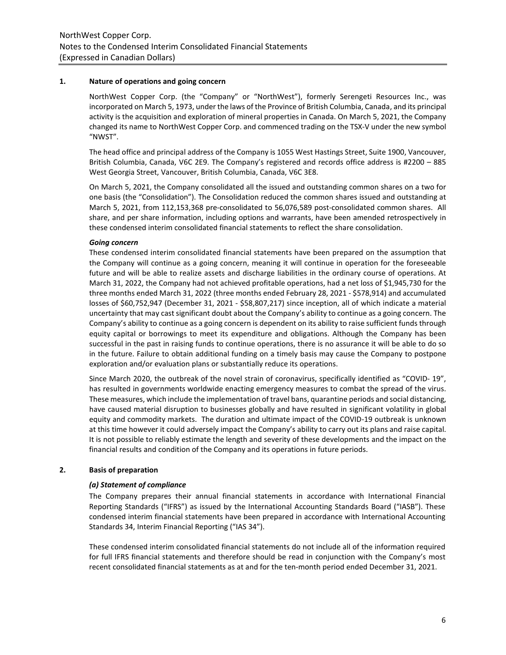#### **1. Nature of operations and going concern**

NorthWest Copper Corp. (the "Company" or "NorthWest"), formerly Serengeti Resources Inc., was incorporated on March 5, 1973, under the laws of the Province of British Columbia, Canada, and its principal activity is the acquisition and exploration of mineral properties in Canada. On March 5, 2021, the Company changed its name to NorthWest Copper Corp. and commenced trading on the TSX-V under the new symbol "NWST".

The head office and principal address of the Company is 1055 West Hastings Street, Suite 1900, Vancouver, British Columbia, Canada, V6C 2E9. The Company's registered and records office address is #2200 – 885 West Georgia Street, Vancouver, British Columbia, Canada, V6C 3E8.

On March 5, 2021, the Company consolidated all the issued and outstanding common shares on a two for one basis (the "Consolidation"). The Consolidation reduced the common shares issued and outstanding at March 5, 2021, from 112,153,368 pre-consolidated to 56,076,589 post-consolidated common shares. All share, and per share information, including options and warrants, have been amended retrospectively in these condensed interim consolidated financial statements to reflect the share consolidation.

#### *Going concern*

These condensed interim consolidated financial statements have been prepared on the assumption that the Company will continue as a going concern, meaning it will continue in operation for the foreseeable future and will be able to realize assets and discharge liabilities in the ordinary course of operations. At March 31, 2022, the Company had not achieved profitable operations, had a net loss of \$1,945,730 for the three months ended March 31, 2022 (three months ended February 28, 2021 - \$578,914) and accumulated losses of \$60,752,947 (December 31, 2021 - \$58,807,217) since inception, all of which indicate a material uncertainty that may cast significant doubt about the Company's ability to continue as a going concern. The Company's ability to continue as a going concern is dependent on its ability to raise sufficient funds through equity capital or borrowings to meet its expenditure and obligations. Although the Company has been successful in the past in raising funds to continue operations, there is no assurance it will be able to do so in the future. Failure to obtain additional funding on a timely basis may cause the Company to postpone exploration and/or evaluation plans or substantially reduce its operations.

Since March 2020, the outbreak of the novel strain of coronavirus, specifically identified as "COVID- 19", has resulted in governments worldwide enacting emergency measures to combat the spread of the virus. These measures, which include the implementation of travel bans, quarantine periods and social distancing, have caused material disruption to businesses globally and have resulted in significant volatility in global equity and commodity markets. The duration and ultimate impact of the COVID-19 outbreak is unknown at this time however it could adversely impact the Company's ability to carry out its plans and raise capital. It is not possible to reliably estimate the length and severity of these developments and the impact on the financial results and condition of the Company and its operations in future periods.

# **2. Basis of preparation**

# *(a) Statement of compliance*

The Company prepares their annual financial statements in accordance with International Financial Reporting Standards ("IFRS") as issued by the International Accounting Standards Board ("IASB"). These condensed interim financial statements have been prepared in accordance with International Accounting Standards 34, Interim Financial Reporting ("IAS 34").

These condensed interim consolidated financial statements do not include all of the information required for full IFRS financial statements and therefore should be read in conjunction with the Company's most recent consolidated financial statements as at and for the ten-month period ended December 31, 2021.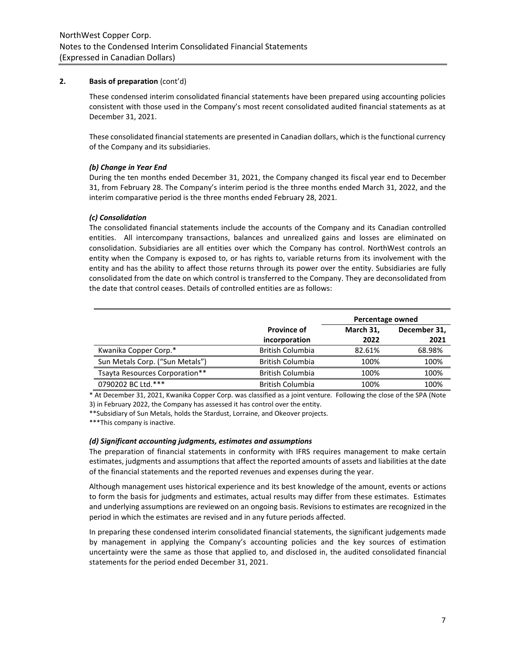#### **2. Basis of preparation** (cont'd)

These condensed interim consolidated financial statements have been prepared using accounting policies consistent with those used in the Company's most recent consolidated audited financial statements as at December 31, 2021.

These consolidated financial statements are presented in Canadian dollars, which is the functional currency of the Company and its subsidiaries.

# *(b) Change in Year End*

During the ten months ended December 31, 2021, the Company changed its fiscal year end to December 31, from February 28. The Company's interim period is the three months ended March 31, 2022, and the interim comparative period is the three months ended February 28, 2021.

#### *(c) Consolidation*

The consolidated financial statements include the accounts of the Company and its Canadian controlled entities. All intercompany transactions, balances and unrealized gains and losses are eliminated on consolidation. Subsidiaries are all entities over which the Company has control. NorthWest controls an entity when the Company is exposed to, or has rights to, variable returns from its involvement with the entity and has the ability to affect those returns through its power over the entity. Subsidiaries are fully consolidated from the date on which control is transferred to the Company. They are deconsolidated from the date that control ceases. Details of controlled entities are as follows:

|                                 |                                     | Percentage owned  |                      |
|---------------------------------|-------------------------------------|-------------------|----------------------|
|                                 | <b>Province of</b><br>incorporation | March 31,<br>2022 | December 31,<br>2021 |
| Kwanika Copper Corp.*           | <b>British Columbia</b>             | 82.61%            | 68.98%               |
| Sun Metals Corp. ("Sun Metals") | British Columbia                    | 100%              | 100%                 |
| Tsayta Resources Corporation**  | British Columbia                    | 100%              | 100%                 |
| 0790202 BC Ltd.***              | <b>British Columbia</b>             | 100%              | 100%                 |

\* At December 31, 2021, Kwanika Copper Corp. was classified as a joint venture. Following the close of the SPA (Note 3) in February 2022, the Company has assessed it has control over the entity.

\*\*Subsidiary of Sun Metals, holds the Stardust, Lorraine, and Okeover projects.

\*\*\*This company is inactive.

#### *(d) Significant accounting judgments, estimates and assumptions*

The preparation of financial statements in conformity with IFRS requires management to make certain estimates, judgments and assumptions that affect the reported amounts of assets and liabilities at the date of the financial statements and the reported revenues and expenses during the year.

Although management uses historical experience and its best knowledge of the amount, events or actions to form the basis for judgments and estimates, actual results may differ from these estimates. Estimates and underlying assumptions are reviewed on an ongoing basis. Revisions to estimates are recognized in the period in which the estimates are revised and in any future periods affected.

In preparing these condensed interim consolidated financial statements, the significant judgements made by management in applying the Company's accounting policies and the key sources of estimation uncertainty were the same as those that applied to, and disclosed in, the audited consolidated financial statements for the period ended December 31, 2021.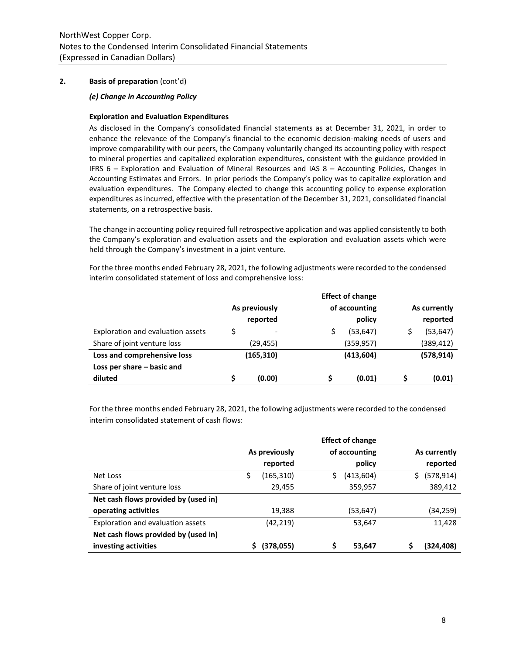## **2. Basis of preparation** (cont'd)

#### *(e) Change in Accounting Policy*

#### **Exploration and Evaluation Expenditures**

As disclosed in the Company's consolidated financial statements as at December 31, 2021, in order to enhance the relevance of the Company's financial to the economic decision-making needs of users and improve comparability with our peers, the Company voluntarily changed its accounting policy with respect to mineral properties and capitalized exploration expenditures, consistent with the guidance provided in IFRS 6 – Exploration and Evaluation of Mineral Resources and IAS 8 – Accounting Policies, Changes in Accounting Estimates and Errors. In prior periods the Company's policy was to capitalize exploration and evaluation expenditures. The Company elected to change this accounting policy to expense exploration expenditures as incurred, effective with the presentation of the December 31, 2021, consolidated financial statements, on a retrospective basis.

The change in accounting policy required full retrospective application and was applied consistently to both the Company's exploration and evaluation assets and the exploration and evaluation assets which were held through the Company's investment in a joint venture.

For the three months ended February 28, 2021, the following adjustments were recorded to the condensed interim consolidated statement of loss and comprehensive loss:

|                                   |                          | <b>Effect of change</b> |              |
|-----------------------------------|--------------------------|-------------------------|--------------|
|                                   | As previously            | of accounting           | As currently |
|                                   | reported                 | policy                  | reported     |
| Exploration and evaluation assets | $\overline{\phantom{a}}$ | (53, 647)               | (53, 647)    |
| Share of joint venture loss       | (29,455)                 | (359,957)               | (389, 412)   |
| Loss and comprehensive loss       | (165, 310)               | (413, 604)              | (578, 914)   |
| Loss per share - basic and        |                          |                         |              |
| diluted                           | (0.00)                   | (0.01)                  | (0.01)       |

For the three months ended February 28, 2021, the following adjustments were recorded to the condensed interim consolidated statement of cash flows:

|                                      | As previously    |   | of accounting | As currently     |
|--------------------------------------|------------------|---|---------------|------------------|
|                                      | reported         |   | policy        | reported         |
| Net Loss                             | \$<br>(165, 310) |   | (413,604)     | (578, 914)<br>S. |
| Share of joint venture loss          | 29,455           |   | 359,957       | 389,412          |
| Net cash flows provided by (used in) |                  |   |               |                  |
| operating activities                 | 19,388           |   | (53, 647)     | (34,259)         |
| Exploration and evaluation assets    | (42, 219)        |   | 53,647        | 11,428           |
| Net cash flows provided by (used in) |                  |   |               |                  |
| investing activities                 | (378,055)        | Ś | 53,647        | (324,408)        |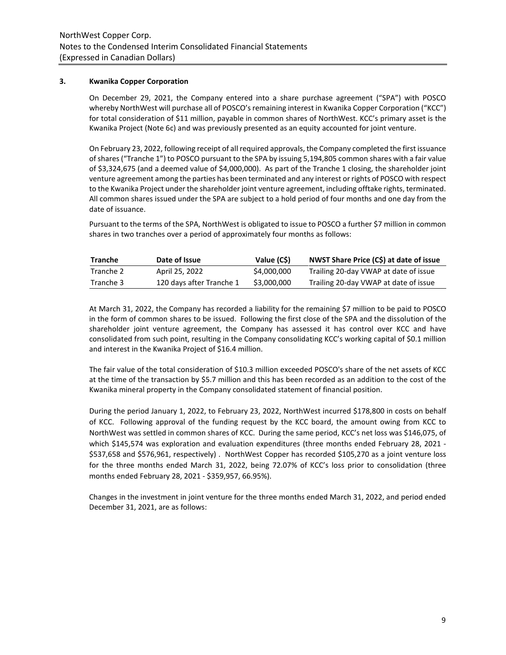## **3. Kwanika Copper Corporation**

On December 29, 2021, the Company entered into a share purchase agreement ("SPA") with POSCO whereby NorthWest will purchase all of POSCO's remaining interest in Kwanika Copper Corporation ("KCC") for total consideration of \$11 million, payable in common shares of NorthWest. KCC's primary asset is the Kwanika Project (Note 6c) and was previously presented as an equity accounted for joint venture.

On February 23, 2022, following receipt of all required approvals, the Company completed the first issuance of shares ("Tranche 1") to POSCO pursuant to the SPA by issuing 5,194,805 common shares with a fair value of \$3,324,675 (and a deemed value of \$4,000,000). As part of the Tranche 1 closing, the shareholder joint venture agreement among the parties has been terminated and any interest or rights of POSCO with respect to the Kwanika Project under the shareholder joint venture agreement, including offtake rights, terminated. All common shares issued under the SPA are subject to a hold period of four months and one day from the date of issuance.

Pursuant to the terms of the SPA, NorthWest is obligated to issue to POSCO a further \$7 million in common shares in two tranches over a period of approximately four months as follows:

| <b>Tranche</b> | Date of Issue            | Value (C\$) | NWST Share Price (C\$) at date of issue |
|----------------|--------------------------|-------------|-----------------------------------------|
| Tranche 2      | April 25, 2022           | \$4,000,000 | Trailing 20-day VWAP at date of issue   |
| Tranche 3      | 120 days after Tranche 1 | \$3,000,000 | Trailing 20-day VWAP at date of issue   |

At March 31, 2022, the Company has recorded a liability for the remaining \$7 million to be paid to POSCO in the form of common shares to be issued. Following the first close of the SPA and the dissolution of the shareholder joint venture agreement, the Company has assessed it has control over KCC and have consolidated from such point, resulting in the Company consolidating KCC's working capital of \$0.1 million and interest in the Kwanika Project of \$16.4 million.

The fair value of the total consideration of \$10.3 million exceeded POSCO's share of the net assets of KCC at the time of the transaction by \$5.7 million and this has been recorded as an addition to the cost of the Kwanika mineral property in the Company consolidated statement of financial position.

During the period January 1, 2022, to February 23, 2022, NorthWest incurred \$178,800 in costs on behalf of KCC. Following approval of the funding request by the KCC board, the amount owing from KCC to NorthWest was settled in common shares of KCC. During the same period, KCC's net loss was \$146,075, of which \$145,574 was exploration and evaluation expenditures (three months ended February 28, 2021 - \$537,658 and \$576,961, respectively) . NorthWest Copper has recorded \$105,270 as a joint venture loss for the three months ended March 31, 2022, being 72.07% of KCC's loss prior to consolidation (three months ended February 28, 2021 - \$359,957, 66.95%).

Changes in the investment in joint venture for the three months ended March 31, 2022, and period ended December 31, 2021, are as follows: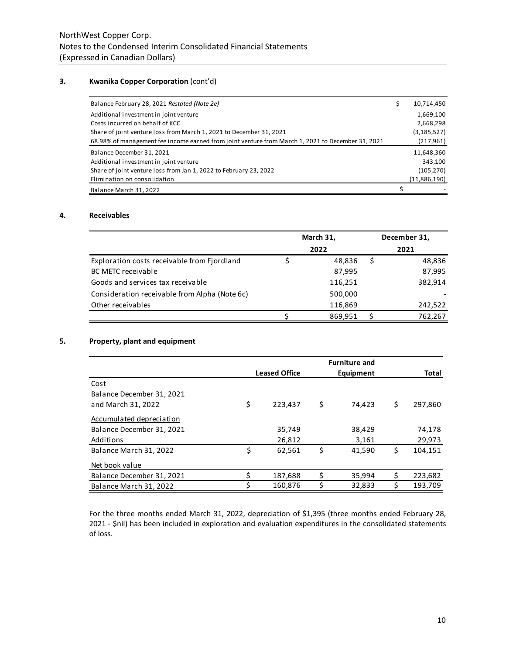# **3. Kwanika Copper Corporation** (cont'd)

| Balance February 28, 2021 Restated (Note 2e)                                                      | \$<br>10,714,450 |
|---------------------------------------------------------------------------------------------------|------------------|
| Additional investment in joint venture                                                            | 1,669,100        |
| Costs incurred on behalf of KCC                                                                   | 2,668,298        |
| Share of joint venture loss from March 1, 2021 to December 31, 2021                               | (3, 185, 527)    |
| 68.98% of management fee income earned from joint venture from March 1, 2021 to December 31, 2021 | (217,961)        |
| Balance December 31, 2021                                                                         | 11,648,360       |
| Additional investment in joint venture                                                            | 343,100          |
| Share of joint venture loss from Jan 1, 2022 to February 23, 2022                                 | (105, 270)       |
| Elimination on consolidation                                                                      | (11,886,190)     |
| Balance March 31, 2022                                                                            |                  |

# **4. Receivables**

|                                               | March 31, | December 31, |
|-----------------------------------------------|-----------|--------------|
|                                               | 2022      | 2021         |
| Exploration costs receivable from Fjordland   | 48.836    | 48,836       |
| <b>BC METC receivable</b>                     | 87,995    | 87,995       |
| Goods and services tax receivable             | 116,251   | 382,914      |
| Consideration receivable from Alpha (Note 6c) | 500,000   |              |
| Other receivables                             | 116,869   | 242,522      |
|                                               | 869,951   | 762.267      |

# **5. Property, plant and equipment**

|                           |    |                      | <b>Furniture and</b> |    |         |
|---------------------------|----|----------------------|----------------------|----|---------|
|                           |    | <b>Leased Office</b> | Equipment            |    | Total   |
| Cost                      |    |                      |                      |    |         |
| Balance December 31, 2021 |    |                      |                      |    |         |
| and March 31, 2022        | \$ | 223.437              | \$<br>74.423         | \$ | 297,860 |
| Accumulated depreciation  |    |                      |                      |    |         |
| Balance December 31, 2021 |    | 35,749               | 38,429               |    | 74,178  |
| Additions                 |    | 26,812               | 3,161                |    | 29,973  |
| Balance March 31, 2022    | \$ | 62,561               | \$<br>41.590         | \$ | 104.151 |
| Net book value            |    |                      |                      |    |         |
| Balance December 31, 2021 |    | 187,688              | \$<br>35,994         | \$ | 223,682 |
| Balance March 31, 2022    | ς  | 160,876              | \$<br>32,833         | Ś  | 193,709 |

For the three months ended March 31, 2022, depreciation of \$1,395 (three months ended February 28, 2021 - \$nil) has been included in exploration and evaluation expenditures in the consolidated statements of loss.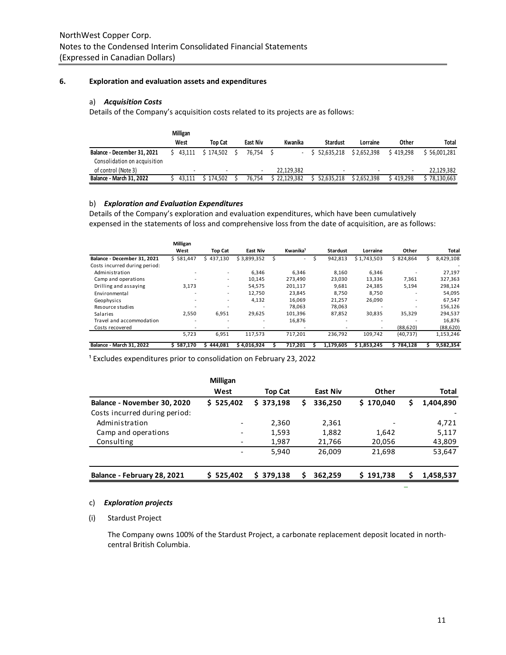# **6. Exploration and evaluation assets and expenditures**

# a) *Acquisition Costs*

Details of the Company's acquisition costs related to its projects are as follows:

|                                 | Milligan |           |          |            |              |             |           |            |
|---------------------------------|----------|-----------|----------|------------|--------------|-------------|-----------|------------|
|                                 | West     | Top Cat   | East Niv | Kwanika    | Stardust     | Lorraine    | Other     | Total      |
| Balance - December 31, 2021     | 43.111   | \$174.502 | 76.754   | ۰.         | \$52.635.218 | \$2.652.398 | \$419.298 | 56.001.281 |
| Consolidation on acquisition    |          |           |          |            |              |             |           |            |
| of control (Note 3)             |          |           |          | 22.129.382 |              |             | -         | 22,129,382 |
| <b>Balance - March 31, 2022</b> | 43.111   | 174.502   | 76.754   | 22.129.382 | 52.635.218   | \$2.652.398 | , 419.298 | 78.130.663 |

# b) *Exploration and Evaluation Expenditures*

Details of the Company's exploration and evaluation expenditures, which have been cumulatively expensed in the statements of loss and comprehensive loss from the date of acquisition, are as follows:

|                                 | Milligan  |                          |                 |                      |   |                 |                          |           |           |
|---------------------------------|-----------|--------------------------|-----------------|----------------------|---|-----------------|--------------------------|-----------|-----------|
|                                 | West      | <b>Top Cat</b>           | <b>East Niv</b> | Kwanika <sup>1</sup> |   | <b>Stardust</b> | Lorraine                 | Other     | Total     |
| Balance - December 31, 2021     | \$581,447 | \$437,130                | \$3,899,352     | $\sim$               | Ś | 942,813         | \$1,743,503              | \$824,864 | 8,429,108 |
| Costs incurred during period:   |           |                          |                 |                      |   |                 |                          |           |           |
| Administration                  |           | $\overline{\phantom{a}}$ | 6,346           | 6,346                |   | 8,160           | 6,346                    |           | 27,197    |
| Camp and operations             |           | $\overline{\phantom{a}}$ | 10,145          | 273,490              |   | 23,030          | 13,336                   | 7,361     | 327,363   |
| Drilling and assaying           | 3,173     | $\overline{\phantom{a}}$ | 54.575          | 201,117              |   | 9,681           | 24,385                   | 5,194     | 298,124   |
| Environmental                   |           | $\overline{\phantom{a}}$ | 12,750          | 23,845               |   | 8,750           | 8,750                    |           | 54,095    |
| Geophysics                      |           | $\overline{\phantom{a}}$ | 4.132           | 16.069               |   | 21.257          | 26,090                   |           | 67,547    |
| Resource studies                |           |                          |                 | 78.063               |   | 78,063          |                          |           | 156,126   |
| Salaries                        | 2,550     | 6,951                    | 29,625          | 101,396              |   | 87,852          | 30,835                   | 35,329    | 294,537   |
| Travel and accommodation        | ۰         | $\overline{\phantom{0}}$ | ٠               | 16.876               |   |                 | $\overline{\phantom{a}}$ |           | 16,876    |
| Costs recovered                 |           |                          |                 |                      |   |                 |                          | (88, 620) | (88, 620) |
|                                 | 5,723     | 6,951                    | 117,573         | 717,201              |   | 236.792         | 109.742                  | (40, 737) | 1,153,246 |
| <b>Balance - March 31, 2022</b> | 587.170   | 444.081                  | \$4,016,924     | 717.201              |   | 1,179,605       | \$1,853,245              | 784.128   | 9,582,354 |

<sup>1</sup> Excludes expenditures prior to consolidation on February 23, 2022

|                               | <b>Milligan</b>          |                |                 |           |   |              |
|-------------------------------|--------------------------|----------------|-----------------|-----------|---|--------------|
|                               | West                     | <b>Top Cat</b> | <b>East Niv</b> | Other     |   | <b>Total</b> |
| Balance - November 30, 2020   | \$525.402                | \$373.198      | 336.250         | \$170,040 | S | 1,404,890    |
| Costs incurred during period: |                          |                |                 |           |   |              |
| Administration                | $\overline{\phantom{0}}$ | 2,360          | 2,361           |           |   | 4,721        |
| Camp and operations           |                          | 1,593          | 1,882           | 1,642     |   | 5,117        |
| Consulting                    |                          | 1,987          | 21,766          | 20,056    |   | 43,809       |
|                               |                          | 5.940          | 26,009          | 21,698    |   | 53,647       |
|                               |                          |                |                 |           |   |              |
| Balance - February 28, 2021   | \$525,402                | \$379,138      | 362,259<br>ς    | \$191,738 | Ś | 1,458,537    |

## c) *Exploration projects*

# (i) Stardust Project

The Company owns 100% of the Stardust Project, a carbonate replacement deposit located in northcentral British Columbia.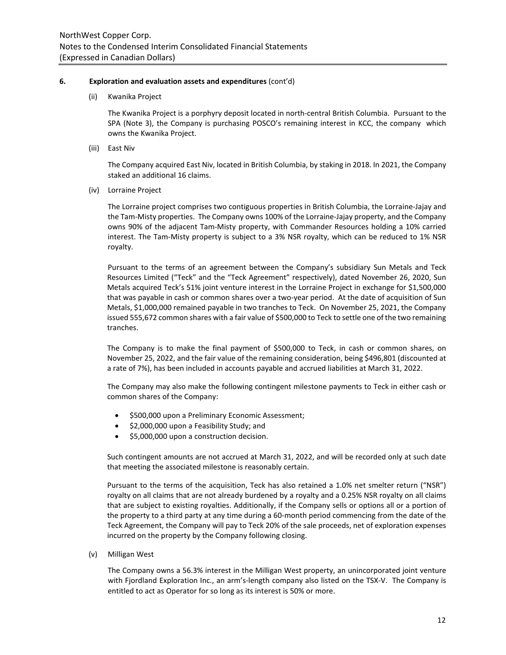## **6. Exploration and evaluation assets and expenditures** (cont'd)

(ii) Kwanika Project

The Kwanika Project is a porphyry deposit located in north-central British Columbia. Pursuant to the SPA (Note 3), the Company is purchasing POSCO's remaining interest in KCC, the company which owns the Kwanika Project.

(iii) East Niv

The Company acquired East Niv, located in British Columbia, by staking in 2018. In 2021, the Company staked an additional 16 claims.

(iv) Lorraine Project

The Lorraine project comprises two contiguous properties in British Columbia, the Lorraine-Jajay and the Tam-Misty properties. The Company owns 100% of the Lorraine-Jajay property, and the Company owns 90% of the adjacent Tam-Misty property, with Commander Resources holding a 10% carried interest. The Tam-Misty property is subject to a 3% NSR royalty, which can be reduced to 1% NSR royalty.

Pursuant to the terms of an agreement between the Company's subsidiary Sun Metals and Teck Resources Limited ("Teck" and the "Teck Agreement" respectively), dated November 26, 2020, Sun Metals acquired Teck's 51% joint venture interest in the Lorraine Project in exchange for \$1,500,000 that was payable in cash or common shares over a two-year period. At the date of acquisition of Sun Metals, \$1,000,000 remained payable in two tranches to Teck. On November 25, 2021, the Company issued 555,672 common shares with a fair value of \$500,000 to Teck to settle one of the two remaining tranches.

The Company is to make the final payment of \$500,000 to Teck, in cash or common shares, on November 25, 2022, and the fair value of the remaining consideration, being \$496,801 (discounted at a rate of 7%), has been included in accounts payable and accrued liabilities at March 31, 2022.

The Company may also make the following contingent milestone payments to Teck in either cash or common shares of the Company:

- \$500,000 upon a Preliminary Economic Assessment;
- \$2,000,000 upon a Feasibility Study; and
- \$5,000,000 upon a construction decision.

Such contingent amounts are not accrued at March 31, 2022, and will be recorded only at such date that meeting the associated milestone is reasonably certain.

Pursuant to the terms of the acquisition, Teck has also retained a 1.0% net smelter return ("NSR") royalty on all claims that are not already burdened by a royalty and a 0.25% NSR royalty on all claims that are subject to existing royalties. Additionally, if the Company sells or options all or a portion of the property to a third party at any time during a 60-month period commencing from the date of the Teck Agreement, the Company will pay to Teck 20% of the sale proceeds, net of exploration expenses incurred on the property by the Company following closing.

(v) Milligan West

The Company owns a 56.3% interest in the Milligan West property, an unincorporated joint venture with Fjordland Exploration Inc., an arm's-length company also listed on the TSX-V. The Company is entitled to act as Operator for so long as its interest is 50% or more.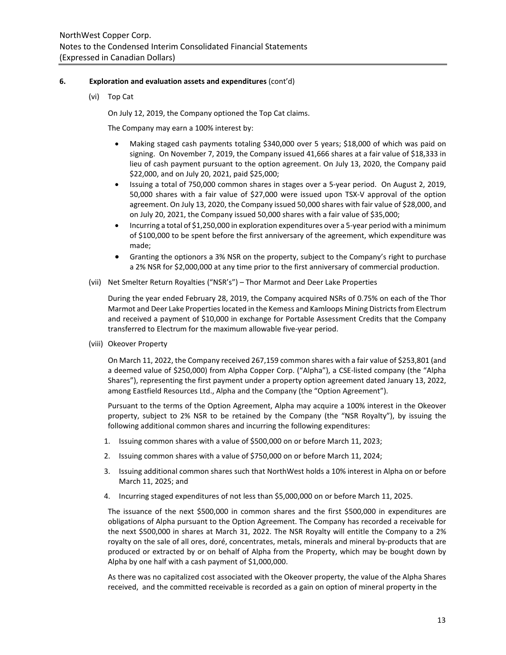## **6. Exploration and evaluation assets and expenditures** (cont'd)

(vi) Top Cat

On July 12, 2019, the Company optioned the Top Cat claims.

The Company may earn a 100% interest by:

- Making staged cash payments totaling \$340,000 over 5 years; \$18,000 of which was paid on signing. On November 7, 2019, the Company issued 41,666 shares at a fair value of \$18,333 in lieu of cash payment pursuant to the option agreement. On July 13, 2020, the Company paid \$22,000, and on July 20, 2021, paid \$25,000;
- Issuing a total of 750,000 common shares in stages over a 5-year period. On August 2, 2019, 50,000 shares with a fair value of \$27,000 were issued upon TSX-V approval of the option agreement. On July 13, 2020, the Company issued 50,000 shares with fair value of \$28,000, and on July 20, 2021, the Company issued 50,000 shares with a fair value of \$35,000;
- Incurring a total of \$1,250,000 in exploration expenditures over a 5-year period with a minimum of \$100,000 to be spent before the first anniversary of the agreement, which expenditure was made;
- Granting the optionors a 3% NSR on the property, subject to the Company's right to purchase a 2% NSR for \$2,000,000 at any time prior to the first anniversary of commercial production.
- (vii) Net Smelter Return Royalties ("NSR's") Thor Marmot and Deer Lake Properties

During the year ended February 28, 2019, the Company acquired NSRs of 0.75% on each of the Thor Marmot and Deer Lake Properties located in the Kemess and Kamloops Mining Districts from Electrum and received a payment of \$10,000 in exchange for Portable Assessment Credits that the Company transferred to Electrum for the maximum allowable five-year period.

(viii) Okeover Property

On March 11, 2022, the Company received 267,159 common shares with a fair value of \$253,801 (and a deemed value of \$250,000) from Alpha Copper Corp. ("Alpha"), a CSE-listed company (the "Alpha Shares"), representing the first payment under a property option agreement dated January 13, 2022, among Eastfield Resources Ltd., Alpha and the Company (the "Option Agreement").

Pursuant to the terms of the Option Agreement, Alpha may acquire a 100% interest in the Okeover property, subject to 2% NSR to be retained by the Company (the "NSR Royalty"), by issuing the following additional common shares and incurring the following expenditures:

- 1. Issuing common shares with a value of \$500,000 on or before March 11, 2023;
- 2. Issuing common shares with a value of \$750,000 on or before March 11, 2024;
- 3. Issuing additional common shares such that NorthWest holds a 10% interest in Alpha on or before March 11, 2025; and
- 4. Incurring staged expenditures of not less than \$5,000,000 on or before March 11, 2025.

The issuance of the next \$500,000 in common shares and the first \$500,000 in expenditures are obligations of Alpha pursuant to the Option Agreement. The Company has recorded a receivable for the next \$500,000 in shares at March 31, 2022. The NSR Royalty will entitle the Company to a 2% royalty on the sale of all ores, doré, concentrates, metals, minerals and mineral by-products that are produced or extracted by or on behalf of Alpha from the Property, which may be bought down by Alpha by one half with a cash payment of \$1,000,000.

As there was no capitalized cost associated with the Okeover property, the value of the Alpha Shares received, and the committed receivable is recorded as a gain on option of mineral property in the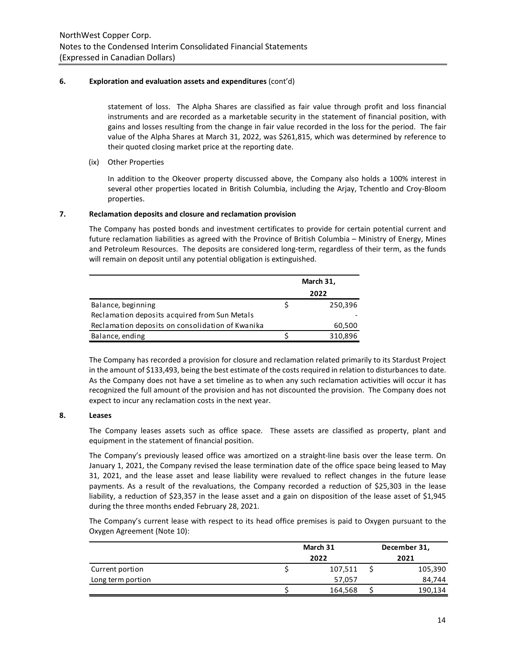# **6. Exploration and evaluation assets and expenditures** (cont'd)

statement of loss. The Alpha Shares are classified as fair value through profit and loss financial instruments and are recorded as a marketable security in the statement of financial position, with gains and losses resulting from the change in fair value recorded in the loss for the period. The fair value of the Alpha Shares at March 31, 2022, was \$261,815, which was determined by reference to their quoted closing market price at the reporting date.

(ix) Other Properties

In addition to the Okeover property discussed above, the Company also holds a 100% interest in several other properties located in British Columbia, including the Arjay, Tchentlo and Croy-Bloom properties.

# **7. Reclamation deposits and closure and reclamation provision**

The Company has posted bonds and investment certificates to provide for certain potential current and future reclamation liabilities as agreed with the Province of British Columbia – Ministry of Energy, Mines and Petroleum Resources. The deposits are considered long-term, regardless of their term, as the funds will remain on deposit until any potential obligation is extinguished.

|                                                  | March 31, |
|--------------------------------------------------|-----------|
|                                                  | 2022      |
| Balance, beginning                               | 250,396   |
| Reclamation deposits acquired from Sun Metals    |           |
| Reclamation deposits on consolidation of Kwanika | 60,500    |
| Balance, ending                                  | 310,896   |
|                                                  |           |

The Company has recorded a provision for closure and reclamation related primarily to its Stardust Project in the amount of \$133,493, being the best estimate of the costs required in relation to disturbances to date. As the Company does not have a set timeline as to when any such reclamation activities will occur it has recognized the full amount of the provision and has not discounted the provision. The Company does not expect to incur any reclamation costs in the next year.

# **8. Leases**

The Company leases assets such as office space. These assets are classified as property, plant and equipment in the statement of financial position.

The Company's previously leased office was amortized on a straight-line basis over the lease term. On January 1, 2021, the Company revised the lease termination date of the office space being leased to May 31, 2021, and the lease asset and lease liability were revalued to reflect changes in the future lease payments. As a result of the revaluations, the Company recorded a reduction of \$25,303 in the lease liability, a reduction of \$23,357 in the lease asset and a gain on disposition of the lease asset of \$1,945 during the three months ended February 28, 2021.

The Company's current lease with respect to its head office premises is paid to Oxygen pursuant to the Oxygen Agreement (Note 10):

|                   | March 31 |  | December 31, |
|-------------------|----------|--|--------------|
|                   | 2022     |  | 2021         |
| Current portion   | 107,511  |  | 105,390      |
| Long term portion | 57,057   |  | 84,744       |
|                   | 164,568  |  | 190,134      |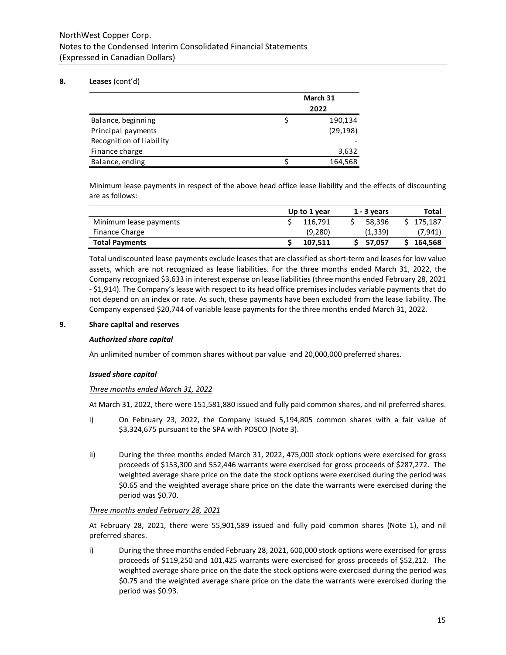# NorthWest Copper Corp. Notes to the Condensed Interim Consolidated Financial Statements (Expressed in Canadian Dollars)

# **8. Leases** (cont'd)

|                          | March 31 |           |  |  |
|--------------------------|----------|-----------|--|--|
|                          |          | 2022      |  |  |
| Balance, beginning       |          | 190,134   |  |  |
| Principal payments       |          | (29, 198) |  |  |
| Recognition of liability |          |           |  |  |
| Finance charge           |          | 3,632     |  |  |
| Balance, ending          |          | 164,568   |  |  |

Minimum lease payments in respect of the above head office lease liability and the effects of discounting are as follows:

|                        | Up to 1 year | $1 - 3$ years | Total     |
|------------------------|--------------|---------------|-----------|
| Minimum lease payments | 116.791      | 58.396        | \$175.187 |
| <b>Finance Charge</b>  | (9,280)      | (1, 339)      | (7,941    |
| <b>Total Payments</b>  | 107.511      | \$ 57.057     | 164,568   |

Total undiscounted lease payments exclude leases that are classified as short-term and leases for low value assets, which are not recognized as lease liabilities. For the three months ended March 31, 2022, the Company recognized \$3,633 in interest expense on lease liabilities (three months ended February 28, 2021 - \$1,914). The Company's lease with respect to its head office premises includes variable payments that do not depend on an index or rate. As such, these payments have been excluded from the lease liability. The Company expensed \$20,744 of variable lease payments for the three months ended March 31, 2022.

### **9. Share capital and reserves**

# *Authorized share capital*

An unlimited number of common shares without par value and 20,000,000 preferred shares.

# *Issued share capital*

# *Three months ended March 31, 2022*

At March 31, 2022, there were 151,581,880 issued and fully paid common shares, and nil preferred shares.

- i) On February 23, 2022, the Company issued 5,194,805 common shares with a fair value of \$3,324,675 pursuant to the SPA with POSCO (Note 3).
- ii) During the three months ended March 31, 2022, 475,000 stock options were exercised for gross proceeds of \$153,300 and 552,446 warrants were exercised for gross proceeds of \$287,272. The weighted average share price on the date the stock options were exercised during the period was \$0.65 and the weighted average share price on the date the warrants were exercised during the period was \$0.70.

# *Three months ended February 28, 2021*

At February 28, 2021, there were 55,901,589 issued and fully paid common shares (Note 1), and nil preferred shares.

i) During the three months ended February 28, 2021, 600,000 stock options were exercised for gross proceeds of \$119,250 and 101,425 warrants were exercised for gross proceeds of \$52,212. The weighted average share price on the date the stock options were exercised during the period was \$0.75 and the weighted average share price on the date the warrants were exercised during the period was \$0.93.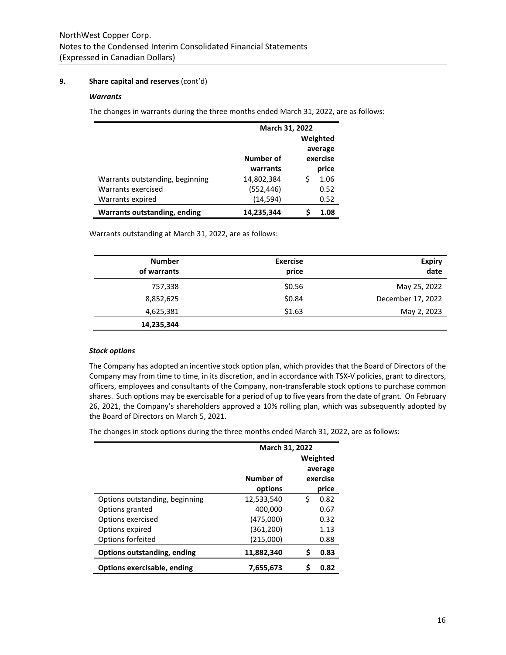# **9. Share capital and reserves** (cont'd)

# *Warrants*

The changes in warrants during the three months ended March 31, 2022, are as follows:

|                                     |            | March 31, 2022 |      |  |  |
|-------------------------------------|------------|----------------|------|--|--|
|                                     | Weighted   |                |      |  |  |
|                                     |            | average        |      |  |  |
|                                     | Number of  | exercise       |      |  |  |
|                                     | warrants   | price          |      |  |  |
| Warrants outstanding, beginning     | 14,802,384 |                | 1.06 |  |  |
| Warrants exercised                  | (552, 446) |                | 0.52 |  |  |
| Warrants expired                    | (14, 594)  |                | 0.52 |  |  |
| <b>Warrants outstanding, ending</b> | 14,235,344 |                | 1.08 |  |  |

Warrants outstanding at March 31, 2022, are as follows:

| <b>Number</b><br>of warrants | <b>Exercise</b><br>price | <b>Expiry</b><br>date |
|------------------------------|--------------------------|-----------------------|
| 757,338                      | \$0.56                   | May 25, 2022          |
| 8,852,625                    | \$0.84                   | December 17, 2022     |
| 4,625,381                    | \$1.63                   | May 2, 2023           |
| 14,235,344                   |                          |                       |

# *Stock options*

The Company has adopted an incentive stock option plan, which provides that the Board of Directors of the Company may from time to time, in its discretion, and in accordance with TSX-V policies, grant to directors, officers, employees and consultants of the Company, non-transferable stock options to purchase common shares. Such options may be exercisable for a period of up to five years from the date of grant. On February 26, 2021, the Company's shareholders approved a 10% rolling plan, which was subsequently adopted by the Board of Directors on March 5, 2021.

The changes in stock options during the three months ended March 31, 2022, are as follows:

|                                | March 31, 2022 |    |          |
|--------------------------------|----------------|----|----------|
|                                |                |    | Weighted |
|                                |                |    | average  |
|                                | Number of      |    | exercise |
|                                | options        |    | price    |
| Options outstanding, beginning | 12,533,540     | \$ | 0.82     |
| Options granted                | 400,000        |    | 0.67     |
| Options exercised              | (475,000)      |    | 0.32     |
| Options expired                | (361, 200)     |    | 1.13     |
| Options forfeited              | (215,000)      |    | 0.88     |
| Options outstanding, ending    | 11,882,340     | S  | 0.83     |
| Options exercisable, ending    | 7,655,673      |    | 0.82     |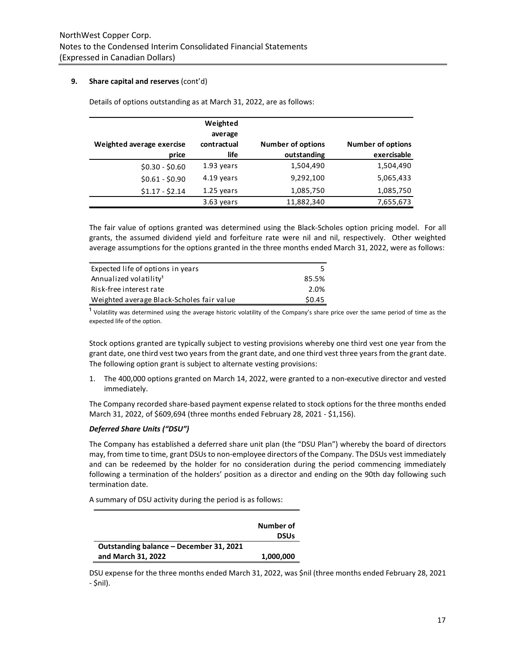# **9. Share capital and reserves** (cont'd)

| Weighted average exercise<br>price | Weighted<br>average<br>contractual<br>life | <b>Number of options</b><br>outstanding | <b>Number of options</b><br>exercisable |
|------------------------------------|--------------------------------------------|-----------------------------------------|-----------------------------------------|
| $$0.30 - $0.60$                    | 1.93 years                                 | 1,504,490                               | 1,504,490                               |
| $$0.61 - $0.90$                    | 4.19 years                                 | 9,292,100                               | 5,065,433                               |
| $$1.17 - $2.14$                    | 1.25 years                                 | 1,085,750                               | 1,085,750                               |
|                                    | 3.63 years                                 | 11,882,340                              | 7,655,673                               |

Details of options outstanding as at March 31, 2022, are as follows:

The fair value of options granted was determined using the Black-Scholes option pricing model. For all grants, the assumed dividend yield and forfeiture rate were nil and nil, respectively. Other weighted average assumptions for the options granted in the three months ended March 31, 2022, were as follows:

| Expected life of options in years         |        |
|-------------------------------------------|--------|
| Annualized volatility <sup>1</sup>        | 85.5%  |
| Risk-free interest rate                   | 2.0%   |
| Weighted average Black-Scholes fair value | \$0.45 |

<sup>1</sup> Volatility was determined using the average historic volatility of the Company's share price over the same period of time as the expected life of the option.

Stock options granted are typically subject to vesting provisions whereby one third vest one year from the grant date, one third vest two years from the grant date, and one third vest three years from the grant date. The following option grant is subject to alternate vesting provisions:

1. The 400,000 options granted on March 14, 2022, were granted to a non-executive director and vested immediately.

The Company recorded share-based payment expense related to stock options for the three months ended March 31, 2022, of \$609,694 (three months ended February 28, 2021 - \$1,156).

# *Deferred Share Units ("DSU")*

The Company has established a deferred share unit plan (the "DSU Plan") whereby the board of directors may, from time to time, grant DSUs to non-employee directors of the Company. The DSUs vest immediately and can be redeemed by the holder for no consideration during the period commencing immediately following a termination of the holders' position as a director and ending on the 90th day following such termination date.

A summary of DSU activity during the period is as follows:

|                                         | Number of<br><b>DSUs</b> |
|-----------------------------------------|--------------------------|
| Outstanding balance – December 31, 2021 |                          |
| and March 31, 2022                      | 1,000,000                |

DSU expense for the three months ended March 31, 2022, was \$nil (three months ended February 28, 2021 - \$nil).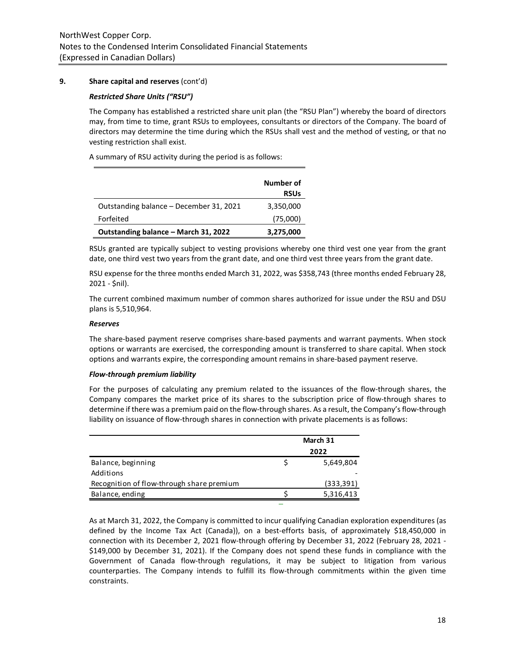# **9. Share capital and reserves** (cont'd)

#### *Restricted Share Units ("RSU")*

The Company has established a restricted share unit plan (the "RSU Plan") whereby the board of directors may, from time to time, grant RSUs to employees, consultants or directors of the Company. The board of directors may determine the time during which the RSUs shall vest and the method of vesting, or that no vesting restriction shall exist.

A summary of RSU activity during the period is as follows:

|                                         | Number of<br><b>RSUs</b> |
|-----------------------------------------|--------------------------|
| Outstanding balance – December 31, 2021 | 3,350,000                |
| Forfeited                               | (75,000)                 |
| Outstanding balance - March 31, 2022    | 3,275,000                |

RSUs granted are typically subject to vesting provisions whereby one third vest one year from the grant date, one third vest two years from the grant date, and one third vest three years from the grant date.

RSU expense for the three months ended March 31, 2022, was \$358,743 (three months ended February 28, 2021 - \$nil).

The current combined maximum number of common shares authorized for issue under the RSU and DSU plans is 5,510,964.

#### *Reserves*

The share-based payment reserve comprises share-based payments and warrant payments. When stock options or warrants are exercised, the corresponding amount is transferred to share capital. When stock options and warrants expire, the corresponding amount remains in share-based payment reserve.

#### *Flow-through premium liability*

For the purposes of calculating any premium related to the issuances of the flow-through shares, the Company compares the market price of its shares to the subscription price of flow-through shares to determine if there was a premium paid on the flow-through shares. As a result, the Company's flow-through liability on issuance of flow-through shares in connection with private placements is as follows:

|                                           | March 31 |            |  |
|-------------------------------------------|----------|------------|--|
|                                           | 2022     |            |  |
| Balance, beginning                        |          | 5,649,804  |  |
| Additions                                 |          |            |  |
| Recognition of flow-through share premium |          | (333, 391) |  |
| Balance, ending                           |          | 5,316,413  |  |

As at March 31, 2022, the Company is committed to incur qualifying Canadian exploration expenditures (as defined by the Income Tax Act (Canada)), on a best-efforts basis, of approximately \$18,450,000 in connection with its December 2, 2021 flow-through offering by December 31, 2022 (February 28, 2021 - \$149,000 by December 31, 2021). If the Company does not spend these funds in compliance with the Government of Canada flow-through regulations, it may be subject to litigation from various counterparties. The Company intends to fulfill its flow-through commitments within the given time constraints.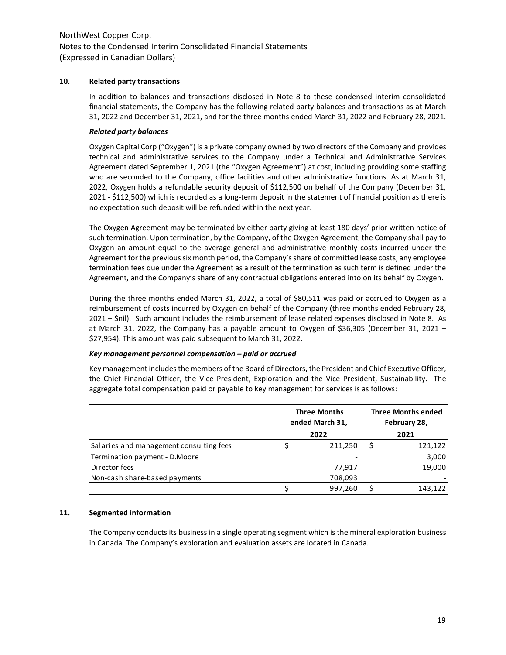#### **10. Related party transactions**

In addition to balances and transactions disclosed in Note 8 to these condensed interim consolidated financial statements, the Company has the following related party balances and transactions as at March 31, 2022 and December 31, 2021, and for the three months ended March 31, 2022 and February 28, 2021.

#### *Related party balances*

Oxygen Capital Corp ("Oxygen") is a private company owned by two directors of the Company and provides technical and administrative services to the Company under a Technical and Administrative Services Agreement dated September 1, 2021 (the "Oxygen Agreement") at cost, including providing some staffing who are seconded to the Company, office facilities and other administrative functions. As at March 31, 2022, Oxygen holds a refundable security deposit of \$112,500 on behalf of the Company (December 31, 2021 - \$112,500) which is recorded as a long-term deposit in the statement of financial position as there is no expectation such deposit will be refunded within the next year.

The Oxygen Agreement may be terminated by either party giving at least 180 days' prior written notice of such termination. Upon termination, by the Company, of the Oxygen Agreement, the Company shall pay to Oxygen an amount equal to the average general and administrative monthly costs incurred under the Agreement for the previous six month period, the Company's share of committed lease costs, any employee termination fees due under the Agreement as a result of the termination as such term is defined under the Agreement, and the Company's share of any contractual obligations entered into on its behalf by Oxygen.

During the three months ended March 31, 2022, a total of \$80,511 was paid or accrued to Oxygen as a reimbursement of costs incurred by Oxygen on behalf of the Company (three months ended February 28, 2021 – \$nil). Such amount includes the reimbursement of lease related expenses disclosed in Note 8. As at March 31, 2022, the Company has a payable amount to Oxygen of \$36,305 (December 31, 2021 – \$27,954). This amount was paid subsequent to March 31, 2022.

#### *Key management personnel compensation – paid or accrued*

Key management includes the members of the Board of Directors, the President and Chief Executive Officer, the Chief Financial Officer, the Vice President, Exploration and the Vice President, Sustainability. The aggregate total compensation paid or payable to key management for services is as follows:

|                                         | <b>Three Months</b><br>ended March 31,<br>2022 |         | <b>Three Months ended</b><br>February 28,<br>2021 |         |
|-----------------------------------------|------------------------------------------------|---------|---------------------------------------------------|---------|
| Salaries and management consulting fees |                                                | 211,250 |                                                   | 121,122 |
| Termination payment - D.Moore           |                                                |         |                                                   | 3,000   |
| Director fees                           |                                                | 77.917  |                                                   | 19,000  |
| Non-cash share-based payments           |                                                | 708,093 |                                                   |         |
|                                         |                                                | 997.260 |                                                   | 143,122 |

# **11. Segmented information**

The Company conducts its business in a single operating segment which is the mineral exploration business in Canada. The Company's exploration and evaluation assets are located in Canada.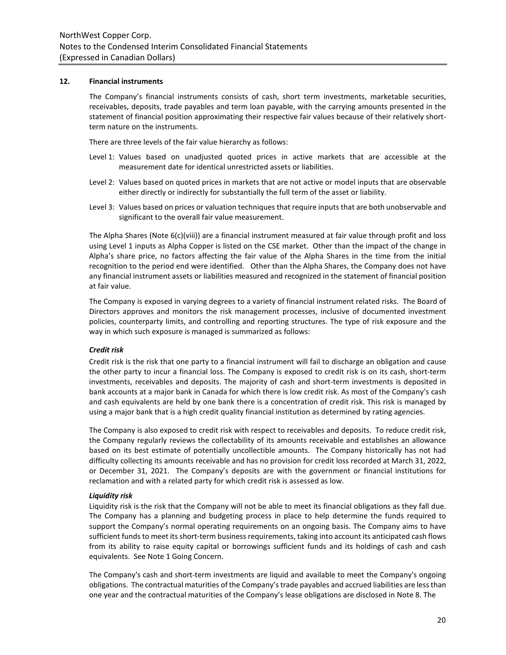#### **12. Financial instruments**

The Company's financial instruments consists of cash, short term investments, marketable securities, receivables, deposits, trade payables and term loan payable, with the carrying amounts presented in the statement of financial position approximating their respective fair values because of their relatively shortterm nature on the instruments.

There are three levels of the fair value hierarchy as follows:

- Level 1: Values based on unadjusted quoted prices in active markets that are accessible at the measurement date for identical unrestricted assets or liabilities.
- Level 2: Values based on quoted prices in markets that are not active or model inputs that are observable either directly or indirectly for substantially the full term of the asset or liability.
- Level 3: Values based on prices or valuation techniques that require inputs that are both unobservable and significant to the overall fair value measurement.

The Alpha Shares (Note 6(c)(viii)) are a financial instrument measured at fair value through profit and loss using Level 1 inputs as Alpha Copper is listed on the CSE market. Other than the impact of the change in Alpha's share price, no factors affecting the fair value of the Alpha Shares in the time from the initial recognition to the period end were identified. Other than the Alpha Shares, the Company does not have any financial instrument assets or liabilities measured and recognized in the statement of financial position at fair value.

The Company is exposed in varying degrees to a variety of financial instrument related risks. The Board of Directors approves and monitors the risk management processes, inclusive of documented investment policies, counterparty limits, and controlling and reporting structures. The type of risk exposure and the way in which such exposure is managed is summarized as follows:

# *Credit risk*

Credit risk is the risk that one party to a financial instrument will fail to discharge an obligation and cause the other party to incur a financial loss. The Company is exposed to credit risk is on its cash, short-term investments, receivables and deposits. The majority of cash and short-term investments is deposited in bank accounts at a major bank in Canada for which there is low credit risk. As most of the Company's cash and cash equivalents are held by one bank there is a concentration of credit risk. This risk is managed by using a major bank that is a high credit quality financial institution as determined by rating agencies.

The Company is also exposed to credit risk with respect to receivables and deposits. To reduce credit risk, the Company regularly reviews the collectability of its amounts receivable and establishes an allowance based on its best estimate of potentially uncollectible amounts. The Company historically has not had difficulty collecting its amounts receivable and has no provision for credit loss recorded at March 31, 2022, or December 31, 2021. The Company's deposits are with the government or financial institutions for reclamation and with a related party for which credit risk is assessed as low.

#### *Liquidity risk*

Liquidity risk is the risk that the Company will not be able to meet its financial obligations as they fall due. The Company has a planning and budgeting process in place to help determine the funds required to support the Company's normal operating requirements on an ongoing basis. The Company aims to have sufficient funds to meet its short-term business requirements, taking into account its anticipated cash flows from its ability to raise equity capital or borrowings sufficient funds and its holdings of cash and cash equivalents. See Note 1 Going Concern.

The Company's cash and short-term investments are liquid and available to meet the Company's ongoing obligations. The contractual maturities of the Company's trade payables and accrued liabilities are less than one year and the contractual maturities of the Company's lease obligations are disclosed in Note 8. The